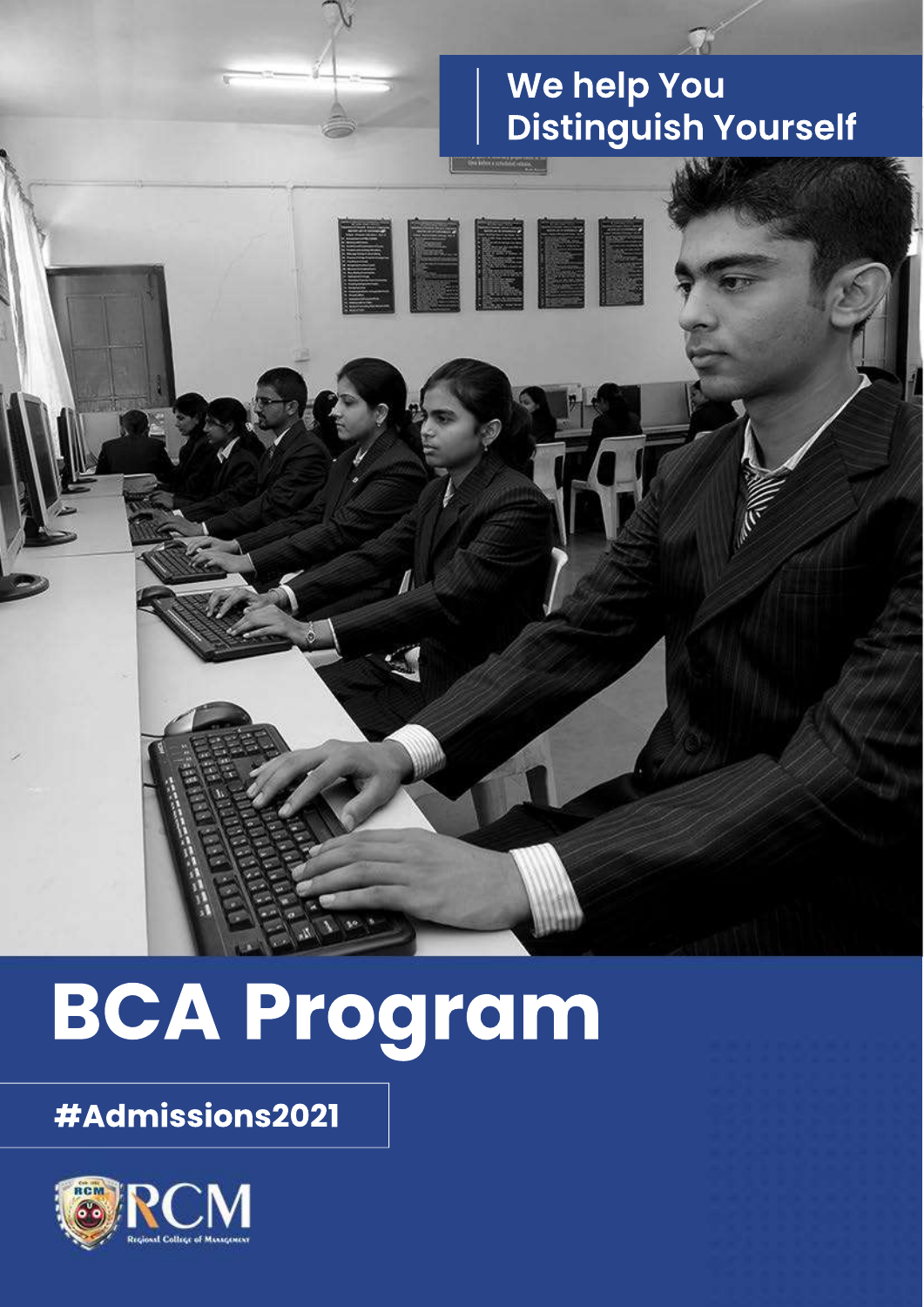### We help You **Distinguish Yourself**

# **BCA Program**

### #Admissions2021

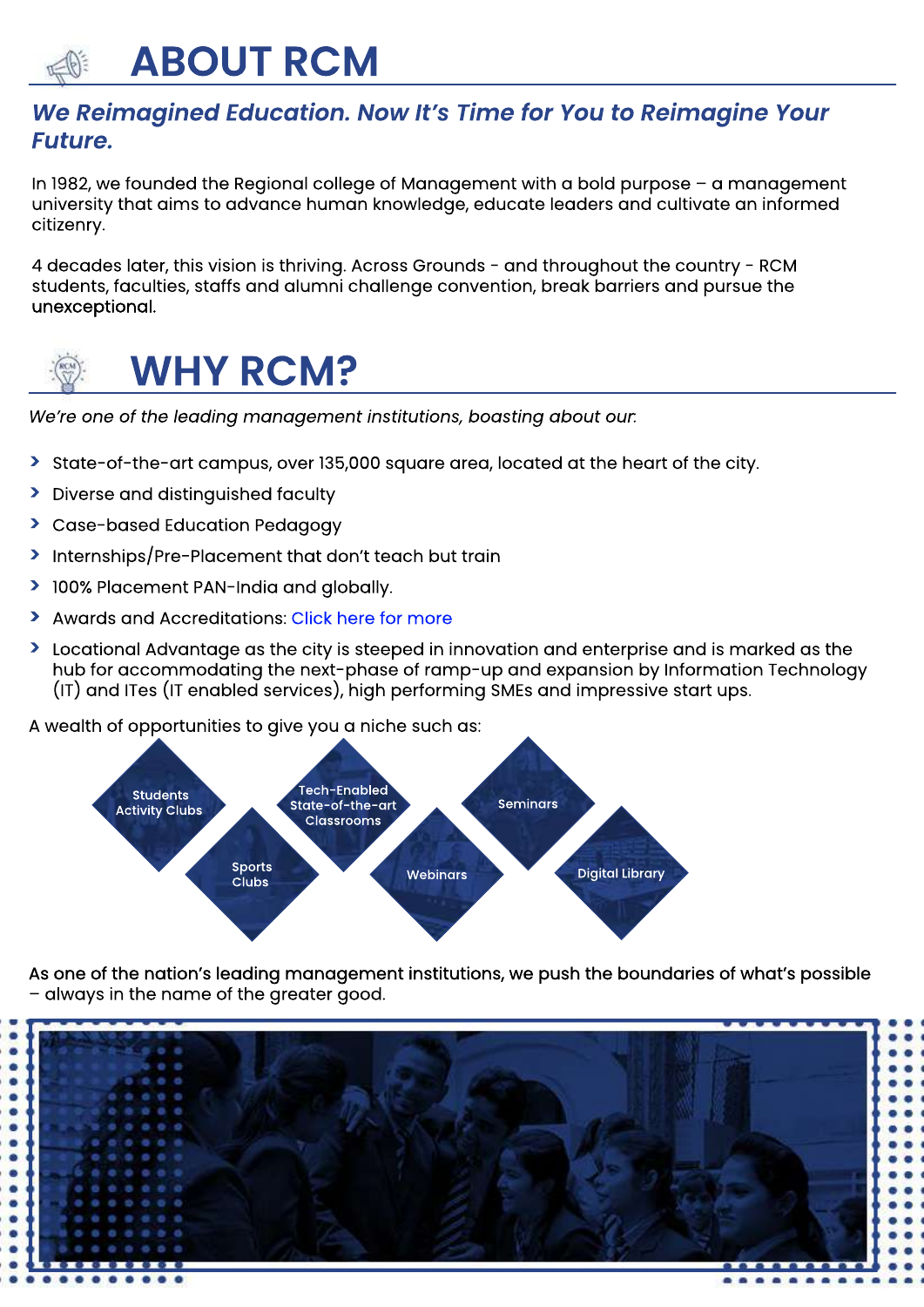## **ABOUTRCM**

#### We Reimagined Education. Now It's Time for You to Reimagine Your *Future.*

In 1982, we founded the Regional college of Management with a bold purpose – a management university that aims to advance human knowledge, educate leaders and cultivate an informed citizenry.

4 decades later, this vision is thriving. Across Grounds - and throughout the country - RCM students, faculties, staffs and alumni challenge convention, break barriers and pursue the unexceptional.



## **WHY RCM?**

We're one of the leading management institutions, boasting about our.

- > State-of-the-art campus, over 135,000 square area, located at the heart of the city.
- > Diverse and distinguished faculty
- **>** Case-based Education Pedagogy
- > Internships/Pre-Placement that don't teach but train
- **>** 100% Placement PAN-India and globally.
- **>** Awards and Accreditations: Click here for more
- **>** Locational Advantage as the city is steeped in innovation and enterprise and is marked as the hub for accommodating the next-phase of ramp-up and expansion by Information Technology (IT) and ITes (IT enabled services), high performing SMEs and impressive start ups.

A wealth of opportunities to give you a niche such as:



As one of the nation's leading management institutions, we push the boundaries of what's possible - always in the name of the greater good.

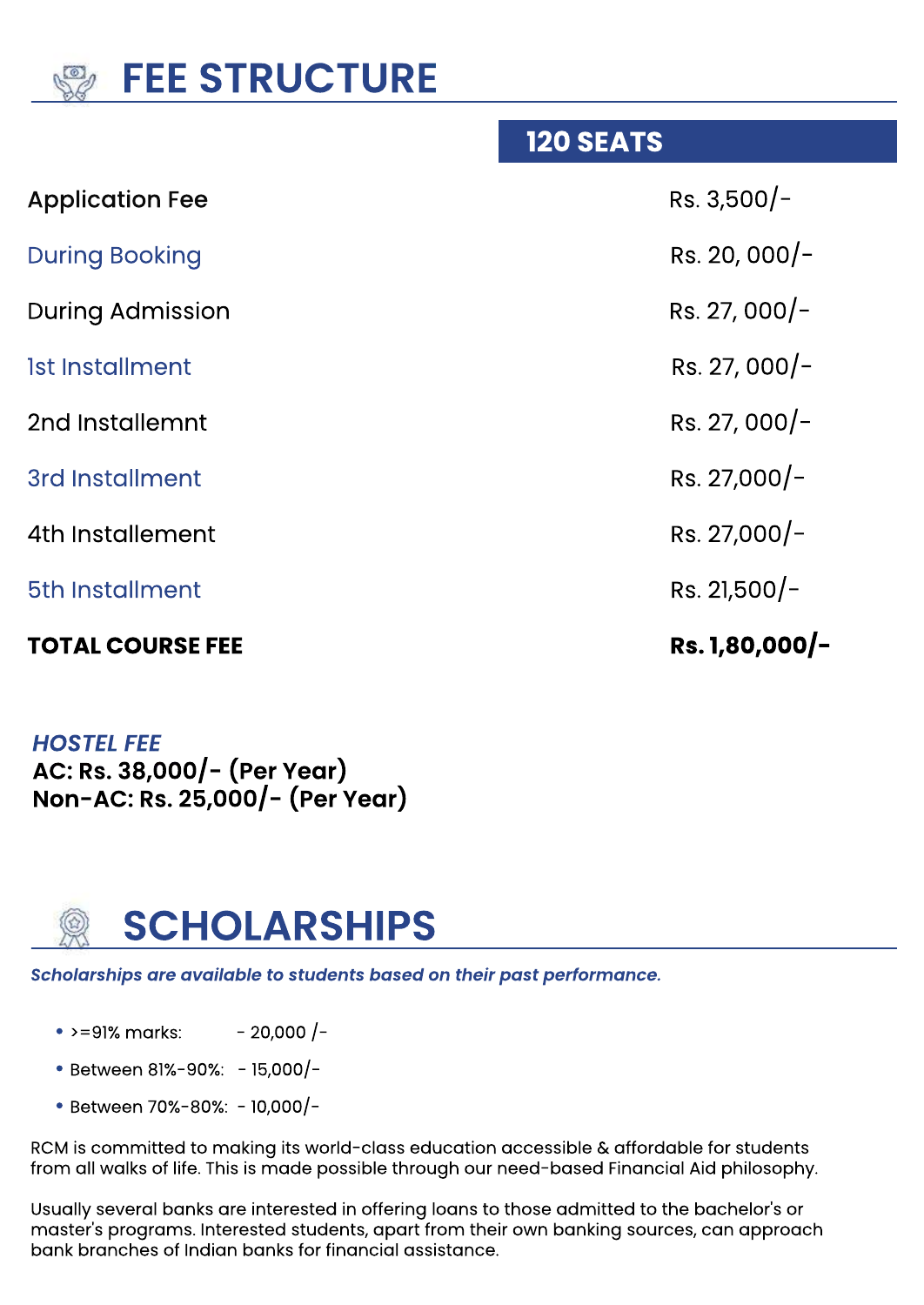

| <b>TOTAL COURSE FEE</b> | Rs. 1,80,000/- |
|-------------------------|----------------|
| 5th Installment         | Rs. 21,500/-   |
| 4th Installement        | Rs. 27,000/-   |
| 3rd Installment         | Rs. $27,000/-$ |
| 2nd Installemnt         | Rs. 27, 000/-  |
| Ist Installment         | Rs. 27, 000/-  |
| <b>During Admission</b> | Rs. 27, 000/-  |
| <b>During Booking</b>   | Rs. 20, 000/-  |
| <b>Application Fee</b>  | $Rs. 3,500/-$  |
|                         |                |

**120 SEATS** 

**HOSTEL FEE AC:Rs.38,000/-(PerYear) Non-AC:Rs.25,000/-(PerYear)**



Scholarships are available to students based on their past performance.

- >=91% marks: - 20,000 /-
- Between 81%-90%: 15,000/-
- **•**Between70%-80%:-10,000/-

RCM is committed to making its world-class education accessible & affordable for students from all walks of life. This is made possible through our need-based Financial Aid philosophy.

Usually several banks are interested in offering loans to those admitted to the bachelor's or master's programs. Interested students, apart from their own banking sources, can approach bank branches of Indian banks for financial assistance.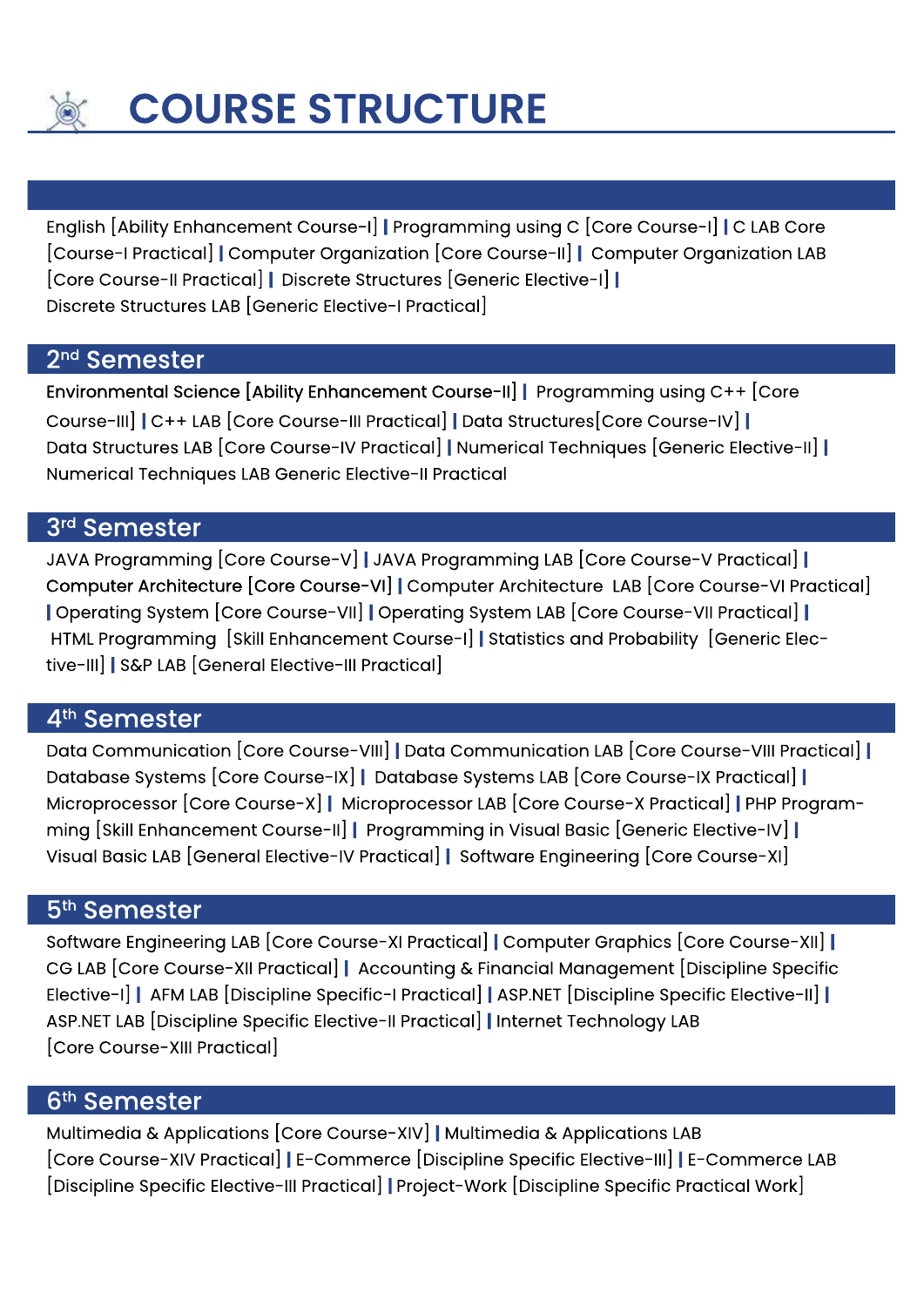

English[AbilityEnhancementCourse-I]**|**ProgrammingusingC[CoreCourse-I]**|**CLABCore [Course-IPractical]**|**ComputerOrganization[CoreCourse-II]**|**ComputerOrganizationLAB [CoreCourse-IIPractical]**|**DiscreteStructures[GenericElective-I]**|** Discrete Structures LAB [Generic Elective-I Practical]

#### 2<sup>nd</sup> Semester

1stemente – Jacob Barnett, amerikansk konstantiner<br>1stementer – Jacob Barnett, amerikansk konstantiner<br>1stementer – Jacob Barnett, amerikansk konstantiner

Environmental Science [Ability Enhancement Course-II] | Programming using C++ [Core Course-III]**|**C++LAB[CoreCourse-IIIPractical]**|**DataStructures[CoreCourse-IV]**|** Data Structures LAB [Core Course-IV Practical] | Numerical Techniques [Generic Elective-II] | Numerical Techniques LAB Generic Elective-II Practical

#### 3rd Semester

JAVAProgramming[CoreCourse-V]**|**JAVAProgrammingLAB[CoreCourse-VPractical]**|** Computer Architecture [Core Course-VI] | Computer Architecture LAB [Core Course-VI Practical] **|**OperatingSystem [CoreCourse-VII]**|**OperatingSystem LAB[CoreCourse-VIIPractical]**|** HTML Programming [Skill Enhancement Course-I] Statistics and Probability [Generic Elective-III]**|**S&PLAB[GeneralElective-IIIPractical]

#### 4<sup>th</sup> Semester

DataCommunication[CoreCourse-VIII]**|**DataCommunicationLAB[CoreCourse-VIIIPractical]**|** DatabaseSystems[CoreCourse-IX]**|**DatabaseSystemsLAB[CoreCourse-IXPractical]**|** Microprocessor[CoreCourse-X]**|**MicroprocessorLAB[CoreCourse-XPractical]**|**PHPProgramming[SkillEnhancementCourse-II]**|**ProgramminginVisualBasic[GenericElective-IV]**|** Visual Basic LAB [General Elective-IV Practical] | Software Engineering [Core Course-XI]

#### 5<sup>th</sup> Semester

SoftwareEngineeringLAB[CoreCourse-XIPractical]**|**ComputerGraphics[CoreCourse-XII]**|** CGLAB[CoreCourse-XIIPractical]**|**Accounting&FinancialManagement[DisciplineSpecific Elective-I]**|**AFMLAB[DisciplineSpecific-IPractical]**|**ASP.NET[DisciplineSpecificElective-II]**|** ASP.NETLAB[DisciplineSpecificElective-IIPractical]**|**InternetTechnologyLAB [Core Course-XIII Practical]

#### 6<sup>th</sup> Semester

Multimedia&Applications[CoreCourse-XIV]**|**Multimedia&ApplicationsLAB [CoreCourse-XIVPractical]**|**E-Commerce[DisciplineSpecificElective-III]**|**E-CommerceLAB [Discipline Specific Elective-III Practical] | Project-Work [Discipline Specific Practical Work]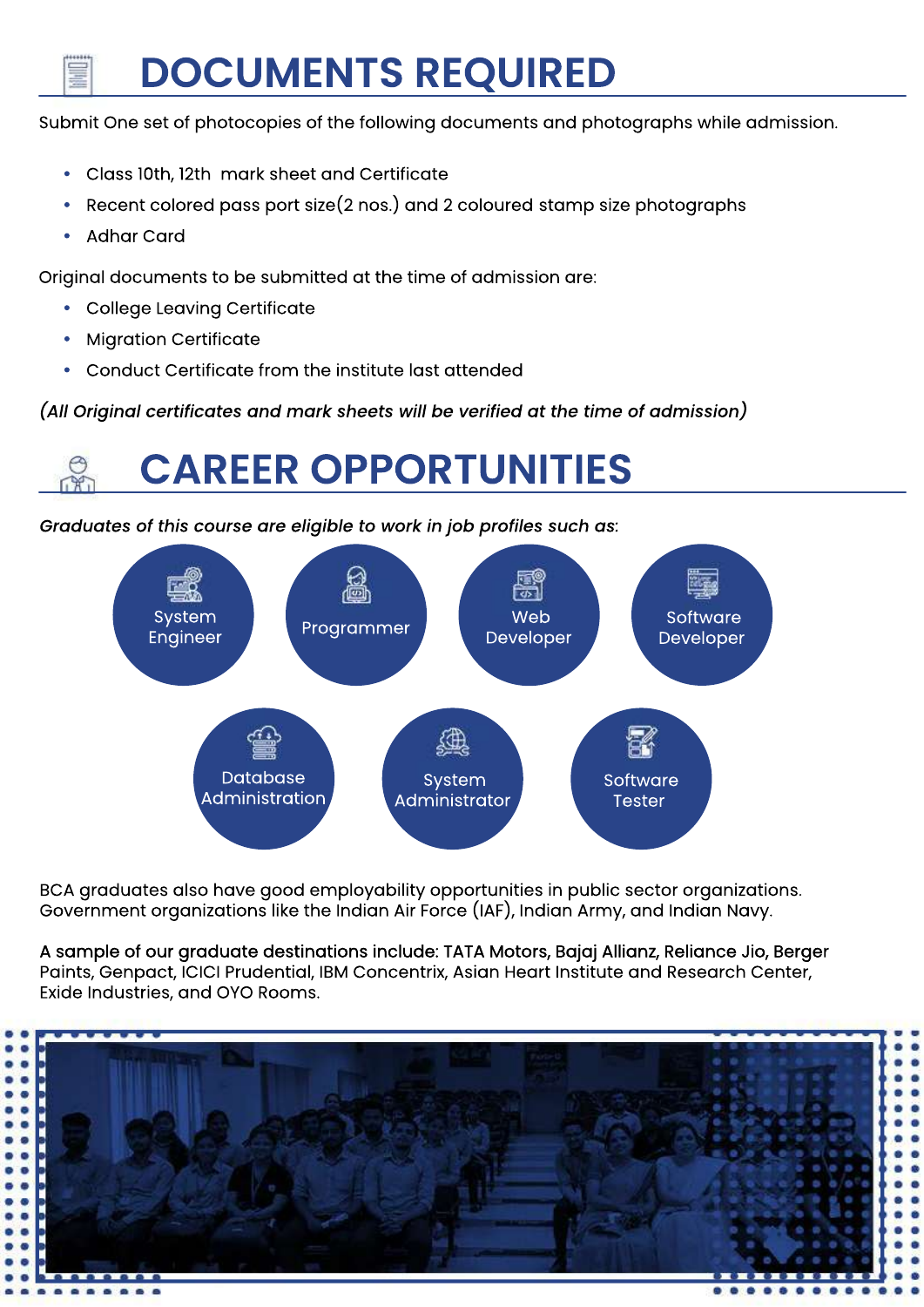## **DOCUMENTSREQUIRED**

Submit One set of photocopies of the following documents and photographs while admission.

- **•** Class10th,12th marksheetandCertificate
- Recent colored pass port size(2 nos.) and 2 coloured stamp size photographs
- **Adhar Card**

Original documents to be submitted at the time of admission are:

- **College Leaving Certificate**
- **Migration Certificate**
- **Conduct Certificate from the institute last attended**

(All Original certificates and mark sheets will be verified at the time of admission)

## **CAREEROPPORTUNITIES**

*Graduates of this course are eligible to work in job profiles such as:* 



BCA graduates also have good employability opportunities in public sector organizations. Government organizations like the Indian Air Force (IAF), Indian Army, and Indian Navy.

A sample of our graduate destinations include: TATA Motors, Bajaj Allianz, Reliance Jio, Berger Paints, Genpact, ICICI Prudential, IBM Concentrix, Asian Heart Institute and Research Center, Exide Industries, and OYO Rooms.

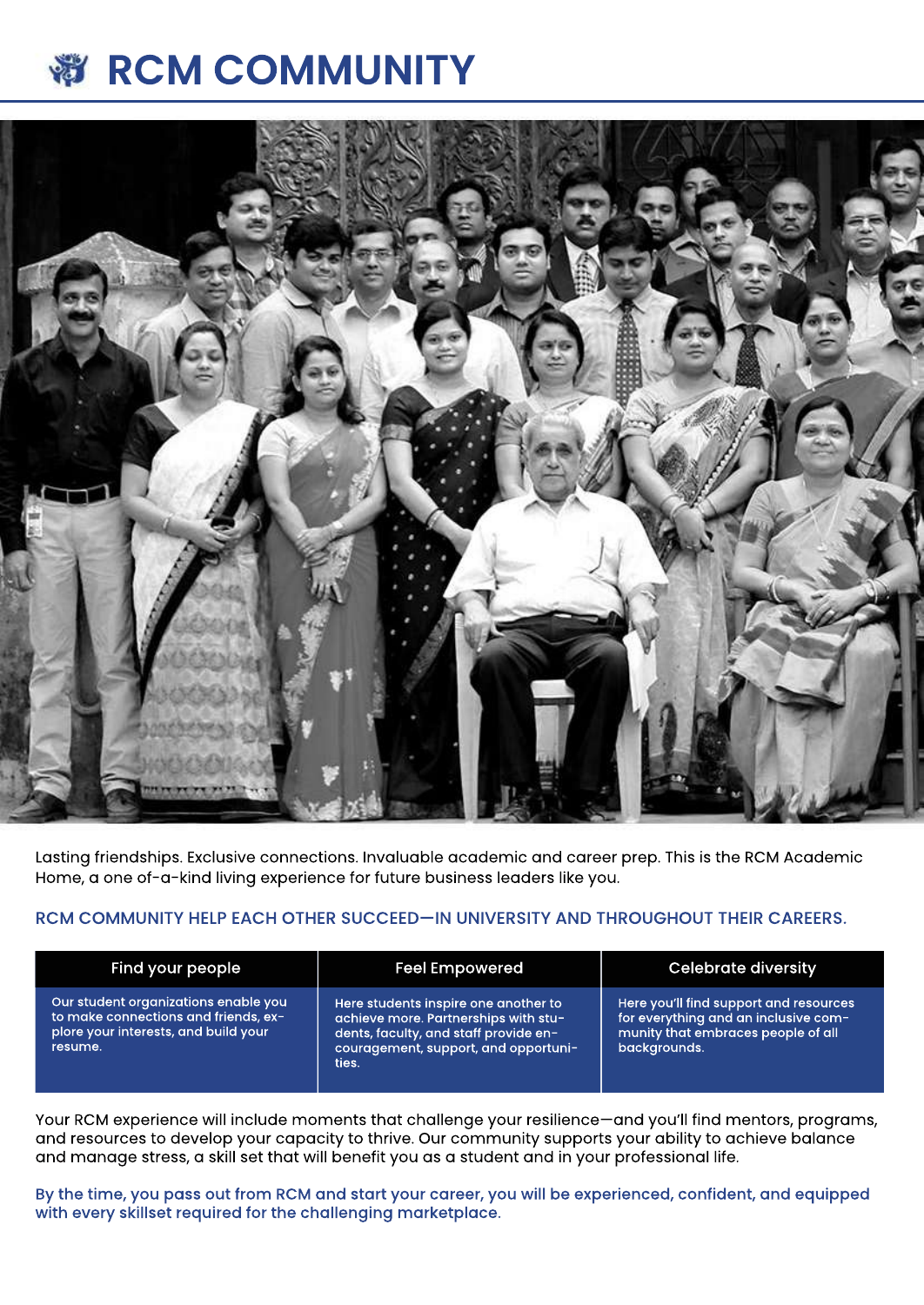#### **RCMCOMMUNITY**  $\delta_{\alpha}$



Lasting friendships. Exclusive connections. Invaluable academic and career prep. This is the RCM Academic Home, a one of-a-kind living experience for future business leaders like you.

#### RCM COMMUNITY HELP EACH OTHER SUCCEED—IN UNIVERSITY AND THROUGHOUT THEIR CAREERS.

| Find your people                                                                                                                | <b>Feel Empowered</b>                                                                                                                                                  | <b>Celebrate diversity</b>                                                                                                                     |
|---------------------------------------------------------------------------------------------------------------------------------|------------------------------------------------------------------------------------------------------------------------------------------------------------------------|------------------------------------------------------------------------------------------------------------------------------------------------|
| Our student organizations enable you<br>to make connections and friends, ex-<br>plore your interests, and build your<br>resume. | Here students inspire one another to<br>achieve more. Partnerships with stu-<br>dents, faculty, and staff provide en-<br>couragement, support, and opportuni-<br>ties. | Here you'll find support and resources<br>for everything and an inclusive com- $^\prime$<br>munity that embraces people of all<br>backgrounds. |

Your RCM experience will include moments that challenge your resilience—and you'll find mentors, programs, and resources to develop your capacity to thrive. Our community supports your ability to achieve balance and manage stress, a skill set that will benefit you as a student and in your professional life.

By the time, you pass out from RCM and start your career, you will be experienced, confident, and equipped with every skillset required for the challenging marketplace.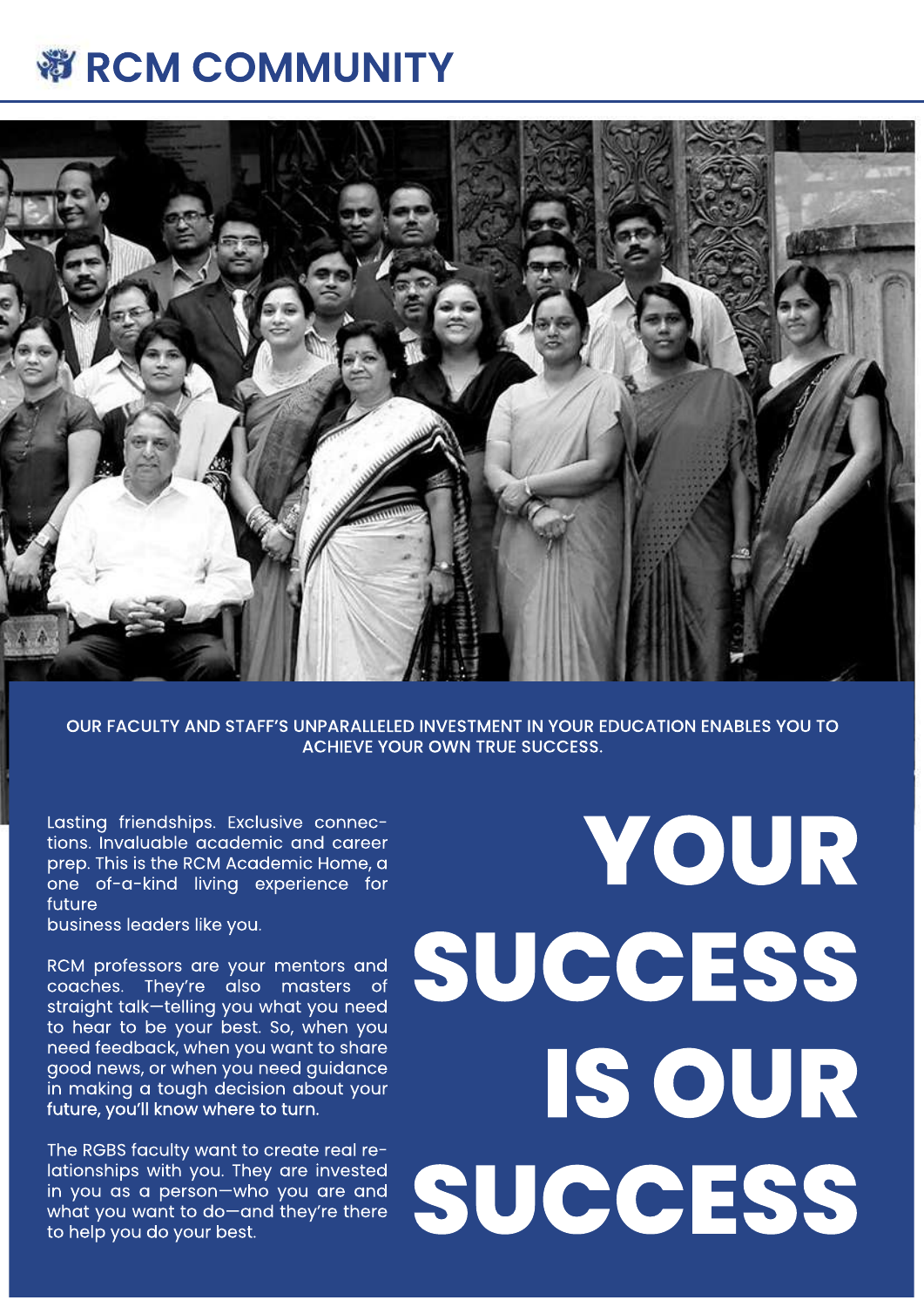## 彩 RCM COMMUNITY



OUR FACULTY AND STAFF'S UNPARALLELED INVESTMENT IN YOUR EDUCATION ENABLES YOU TO **ACHIEVE YOUR OWN TRUE SUCCESS.** 

Lasting friendships. Exclusive connections. Invaluable academic and career prep. This is the RCM Academic Home, a one of-a-kind living experience for future

business leaders like you.

RCM professors are your mentors and coaches. They're also masters of straight talk-telling you what you need to hear to be your best. So, when you need feedback, when you want to share good news, or when you need guidance in making a tough decision about your future, you'll know where to turn.

The RGBS faculty want to create real relationships with you. They are invested in you as a person-who you are and what you want to do-and they're there to help you do your best.

# YOUR SUCCESS IS OUR SUCCESS